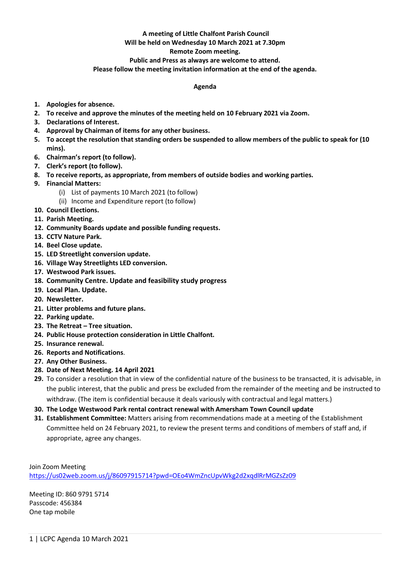# **A meeting of Little Chalfont Parish Council**

# **Will be held on Wednesday 10 March 2021 at 7.30pm**

### **Remote Zoom meeting.**

### **Public and Press as always are welcome to attend.**

#### **Please follow the meeting invitation information at the end of the agenda.**

#### **Agenda**

- **1. Apologies for absence.**
- **2. To receive and approve the minutes of the meeting held on 10 February 2021 via Zoom.**
- **3. Declarations of Interest.**
- **4. Approval by Chairman of items for any other business.**
- **5. To accept the resolution that standing orders be suspended to allow members of the public to speak for (10 mins).**
- **6. Chairman's report (to follow).**
- **7. Clerk's report (to follow).**
- **8. To receive reports, as appropriate, from members of outside bodies and working parties.**
- **9. Financial Matters:**
	- (i) List of payments 10 March 2021 (to follow)
	- (ii) Income and Expenditure report (to follow)
- **10. Council Elections.**
- **11. Parish Meeting.**
- **12. Community Boards update and possible funding requests.**
- **13. CCTV Nature Park.**
- **14. Beel Close update.**
- **15. LED Streetlight conversion update.**
- **16. Village Way Streetlights LED conversion.**
- **17. Westwood Park issues.**
- **18. Community Centre. Update and feasibility study progress**
- **19. Local Plan. Update.**
- **20. Newsletter.**
- **21. Litter problems and future plans.**
- **22. Parking update.**
- **23. The Retreat – Tree situation.**
- **24. Public House protection consideration in Little Chalfont.**
- **25. Insurance renewal.**
- **26. Reports and Notifications**.
- **27. Any Other Business.**
- **28. Date of Next Meeting. 14 April 2021**
- **29.** To consider a resolution that in view of the confidential nature of the business to be transacted, it is advisable, in the public interest, that the public and press be excluded from the remainder of the meeting and be instructed to withdraw. (The item is confidential because it deals variously with contractual and legal matters.)
- **30. The Lodge Westwood Park rental contract renewal with Amersham Town Council update**
- **31. Establishment Committee:** Matters arising from recommendations made at a meeting of the Establishment Committee held on 24 February 2021, to review the present terms and conditions of members of staff and, if appropriate, agree any changes.

Join Zoom Meeting <https://us02web.zoom.us/j/86097915714?pwd=OEo4WmZncUpvWkg2d2xqdlRrMGZsZz09>

Meeting ID: 860 9791 5714 Passcode: 456384 One tap mobile